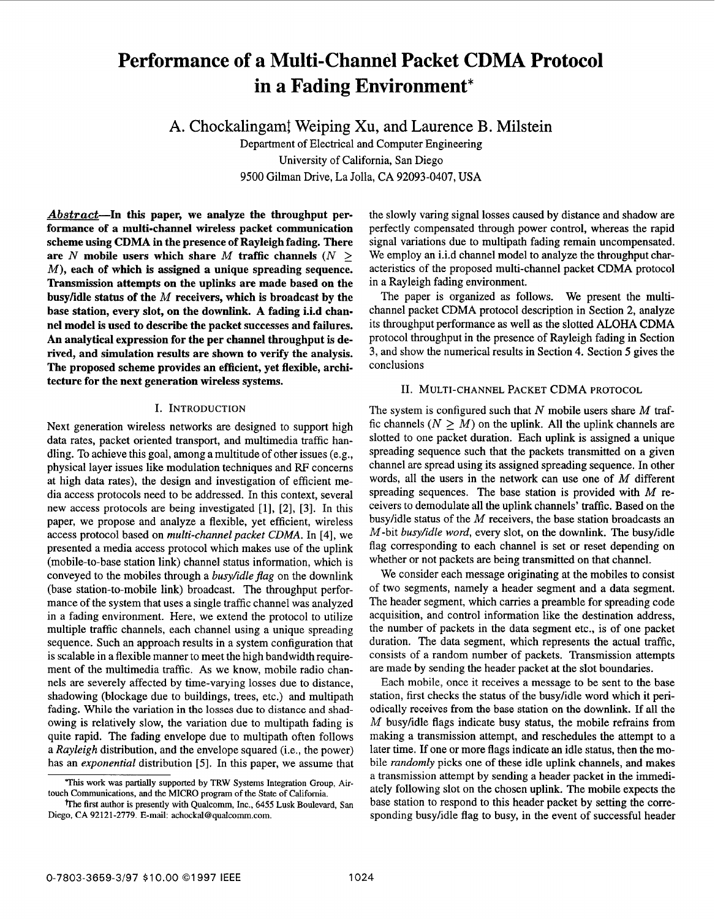# Performance of a Multi-Channel Packet CDMA Protocol **in a Fading Environment\***

**A.** Chockalingam! Weiping Xu, and Laurence B. Milstein

Department of Electrical and Computer Engineering University of California, San Diego 9500 Gilman Drive, La Jolla, CA 92093-0407, USA

Abstract-In this paper, we analyze the throughput per**formance of a multi-channel wireless packet communication scheme using CDMA in the presence of Rayleigh fading. There**  are *N* mobile users which share *M* traffic channels  $(N \geq 1)$ *M),* **each of which is assigned a unique spreading sequence.**  Transmission attempts on the uplinks are made based on the **busylidle status of the** *M* **receivers, which is broadcast by the base station, every slot, on the downlink. A fading i.i.d channel model is used to describe the packet successes and failures. An analytical expression for the per channel throughput is derived, and simulation results are shown to verify the analysis. The proposed scheme provides an efficient, yet flexible, architecture for the next generation wireless systems.** 

# I. INTRODUCTION

Next generation wireless networks are designed to support high data rates, packet oriented transport, and multimedia traffic handling. To achieve this goal, among a multitude of other issues (e.g., physical layer issues like modulation techniques and RF concerns at high data rates), the design and investigation of efficient media access protocols need to be addressed. In this context, several new access protocols are being investigated  $[1]$ ,  $[2]$ ,  $[3]$ . In this paper, we propose and analyze a flexible, yet efficient, wireless access protocol based on *multi-channel packet CDMA*. In [4], we presented a media access protocol which makes use of the uplink (mobile-to-base station link) channel status information, which is conveyed to the mobiles through a *busy/idle flag* on the downlink (base station-to-mobile link) broadcast. The throughput performance of the system that uses a single traffic channel was analyzed in a fading environment. Here, we extend the protocol to utilize multiple traffic channels, each channel using a unique spreading sequence. Such an approach results in a system configuration that is scalable in a flexible manner to meet the high bandwidth requirement of the multimedia traffic. **As** we know, mobile radio channels are severely affected by time-varying losses due to distance, shadowing (blockage due to buildings, trees, etc.) and multipath fading. While the variation in the losses due to distance and shadowing is relatively slow, the variation due to multipath fading is quite rapid. The fading envelope due to multipath often follows a *Rayleigh* distribution, and the envelope squared (i.e., the power) has an *exponential* distribution [5]. In this paper, we assume that

the slowly varing signal losses caused by distance and shadow are perfectly compensated through power control, whereas the rapid signal variations due to multipath fading remain uncompensated. We employ an i.i.d channel model to analyze the throughput characteristics of the proposed multi-channel packet CDMA protocol in a Rayleigh fading environment.

The paper is organized as follows. We present the multichannel packet CDMA protocol description in Section **2,** analyze its throughput performance as well as the slotted ALOHA CDMA protocol throughput in the presence of Rayleigh fading in Section 3, and show the numerical results in Section 4. Section **5** gives the conclusions

# 11. MULTI-CHANNEL PACKET CDMA PROTOCOL

The system is configured such that *N* mobile users share *M* traffic channels  $(N \geq M)$  on the uplink. All the uplink channels are slotted to one packet duration. Each uplink is assigned a unique spreading sequence such that the packets transmitted on a given channel are spread using its assigned spreading sequence. In other words, all the users in the network can use one of *M* different spreading sequences. The base station is provided with *M* receivers to demodulate all the uplink channels' traffic. Based on the busy/idle status of the *M* receivers, the base station broadcasts an M-bit *busy/idle word,* every slot, on the downlink. The busylidle flag corresponding to each channel is set or reset depending on whether or not packets are being transmitted on that channel.

We consider each message originating at the mobiles to consist of two segments, namely a header segment and a data segment. The header segment, which carries a preamble for spreading code acquisition, and control information like the destination address, the number of packets in the data segment etc., is of one packet duration. The data segment, which represents the actual traffic, consists of a random number of packets. Transmission attempts are made by sending the header packet at the slot boundaries.

Each mobile, once it receives a message to be sent to the base station, first checks the status of the busylidle word which it periodically receives from the base station on the downlink. **If** all the *M* busy/idle flags indicate busy status, the mobile refrains from making a transmission attempt, and reschedules the attempt to a later time. If one or more flags indicate an idle status, then the mobile *randomly* picks one of these idle uplink channels, and makes a transmission attempt by sending a header packet in the immediately following slot on the chosen uplink. The mobile expects the base station to respond to this header packet by setting the corresponding busylidle flag to busy, in the event of successful header

**This** work was partially supported by TRW **Systems** Integration **Group,** AUtouch Communications, and the MICRO **program of** the State of Califomia.

The first author is presently with Qualcomm, Inc., 6455 Lusk Boulevard, San Diego, CA 92121-2779. E-mail: [achockal@qualcomm.com](mailto:achockal@qualcomm.com).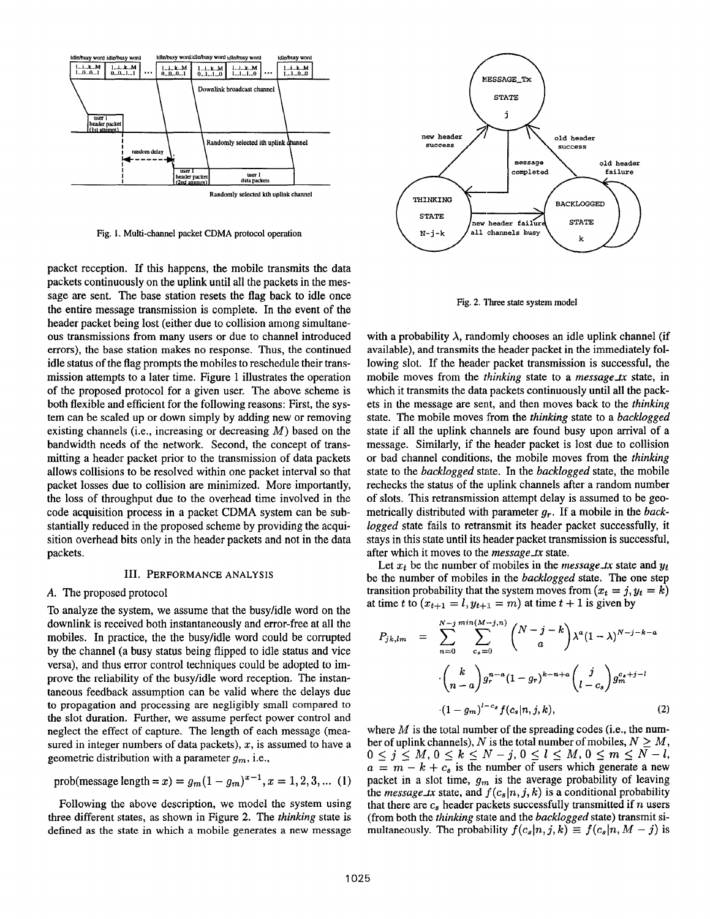

**Fig. 1. Multi-channel packet CDMA protocol operation** 

packet reception. If this happens, the mobile transmits the data packets continuously on the uplink until all the packets in the message are sent. The base station resets the flag back to idle once the entire message transmission is complete. In the event of the header packet being lost (either due to collision among simultaneous transmissions from many users or due to channel introduced errors), the base station makes no response. Thus, the continued idle status of the flag prompts the mobiles to reschedule their transmission attempts to a later time. Figure 1 illustrates the operation of the proposed protocol for a given user. The above scheme is both flexible and efficient for the following reasons: First, the system can be scaled up or down simply by adding new or removing existing channels (i.e., increasing or decreasing *M)* based on the bandwidth needs of the network. Second, the concept of transmitting a header packet prior to the transmission of data packets allows collisions to be resolved within one packet interval so that packet losses due to collision are minimized. More importantly, the loss of throughput due to the overhead time involved in the code acquisition process in a packet **CDMA** system can be substantially reduced in the proposed scheme by providing the acquisition overhead bits only in the header packets and not in the data packets.

#### 111. **PERFORMANCE ANALYSIS**

#### *A.* The proposed protocol

To analyze the system, we assume that the busyhdle word on the downlink is received both instantaneously and error-free at all the mobiles. In practice, the the busyhdle word could be corrupted by the channel (a busy status being flipped to idle status and vice versa), and thus error control techniques could be adopted to improve the reliability of the busyhdle word reception. The instantaneous feedback assumption can be valid where the delays due to propagation and processing are negligibly small compared to the slot duration. Further, we assume perfect power control and neglect the effect of capture. The length of each message (measured in integer numbers of data packets), *x,* **is** assumed to have a geometric distribution with a parameter *gm,* i.e.,

prob(message length = x) = 
$$
g_m(1 - g_m)^{x-1}
$$
, x = 1, 2, 3, ... (1)

Following the above description, we model the system using three different states, as shown in Figure *2.* The *thinking* state is defined as the state in which a mobile generates a new message



**Fig. 2. Three state system model** 

with a probability  $\lambda$ , randomly chooses an idle uplink channel (if available), and transmits the header packet in the immediately following slot. If the header packet transmission is successful, the mobile moves from the *thinking* state to a *message-tx* state, in which it transmits the data packets continuously until all the packets in the message are sent, and then moves back to the *thinking*  state. The mobile moves from the *thinking* state to a *backlogged*  state if all the uplink channels are found busy upon arrival of a message. Similarly, if the header packet is lost due to collision or bad channel conditions, the mobile moves from the *thinking*  state to the *backlogged* state. In the *backlogged* state, the mobile rechecks the status of the uplink channels after a random number of slots. This retransmission attempt delay is assumed to be geometrically distributed with parameter **g,..** If a mobile in the *back*logged state fails to retransmit its header packet successfully, it stays in this state until its header packet transmission is successful, after which it moves *to* the *message-tx* state.

Let  $x_t$  be the number of mobiles in the *message\_tx* state and  $y_t$ be the number of mobiles in the *backlogged* state. The one step transition probability that the system moves from  $(x_t = j, y_t = k)$ at time *t* to  $(x_{t+1} = l, y_{t+1} = m)$  at time  $t + 1$  is given by

$$
P_{jk,lm} = \sum_{n=0}^{N-j} \sum_{c_s=0}^{\min(M-j,n)} \binom{N-j-k}{a} \lambda^a (1-\lambda)^{N-j-k-a}
$$

$$
\cdot \binom{k}{n-a} g_r^{n-a} (1-g_r)^{k-n+a} \binom{j}{l-c_s} g_m^{c_s+j-l}
$$

$$
\cdot (1-g_m)^{l-c_s} f(c_s|n,j,k), \qquad (2)
$$

where  $M$  is the total number of the spreading codes (i.e., the number of uplink channels), *N* is the total number of mobiles,  $N \geq M$ ,  $0 \leq j \leq M, 0 \leq k \leq N-j, 0 \leq l \leq M, 0 \leq m \leq N-l,$  $a = m - k + c_s$  is the number of users which generate a new packet in a slot time,  $g_m$  is the average probability of leaving the *message\_tx* state, and  $f(c_s | n, j, k)$  is a conditional probability that there are  $c_s$  header packets successfully transmitted if  $n$  users (from both the *thinking* state and the *backlogged* state) transmit simultaneously. The probability  $f(c_s|n, j, k) \equiv f(c_s|n, M - j)$  is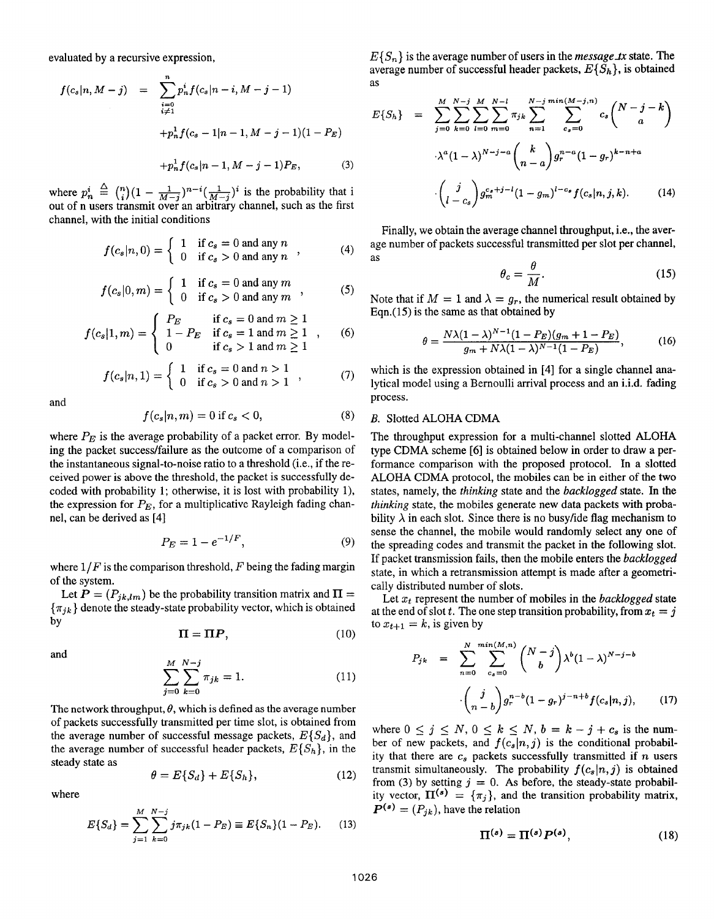evaluated by a recursive expression,

$$
f(c_s|n, M-j) = \sum_{\substack{i=0 \ i \neq 1}}^{n} p_n^i f(c_s|n-i, M-j-1)
$$
  
+
$$
p_n^1 f(c_s - 1|n-1, M-j-1)(1 - P_E)
$$
  
+
$$
p_n^1 f(c_s|n-1, M-j-1)P_E,
$$
 (3)

where  $p_n^i \triangleq \binom{n}{i} (1 - \frac{1}{M-j})^{n-i} (\frac{1}{M-j})^i$  is the probability that i out of n users transmit over an arbitrary channel, such as the first channel, with the initial conditions  $\mathbf{A} \triangleq \mathbf{A}$ 

$$
f(c_s|n,0) = \begin{cases} 1 & \text{if } c_s = 0 \text{ and any } n \\ 0 & \text{if } c_s > 0 \text{ and any } n \end{cases}
$$
 (4)

$$
f(c_s|0,m) = \begin{cases} 1 & \text{if } c_s = 0 \text{ and any } m \\ 0 & \text{if } c_s > 0 \text{ and any } m \end{cases}
$$
 (5)

$$
f(c_s|1,m) = \begin{cases} P_E & \text{if } c_s = 0 \text{ and } m \ge 1\\ 1 - P_E & \text{if } c_s = 1 \text{ and } m \ge 1\\ 0 & \text{if } c_s > 1 \text{ and } m \ge 1 \end{cases}
$$
 (6)

$$
f(c_s|n,1) = \begin{cases} 1 & \text{if } c_s = 0 \text{ and } n > 1 \\ 0 & \text{if } c_s > 0 \text{ and } n > 1 \end{cases},
$$
 (7)

and

$$
f(c_s|n,m) = 0 \text{ if } c_s < 0,\tag{8}
$$

where  $P_E$  is the average probability of a packet error. By modeling the packet successlfailure as the outcome of a comparison of the instantaneous signal-to-noise ratio to a threshold (i.e., if the received power **is** above the threshold, the packet is successfully decoded with probability **l;** otherwise, it is lost with probability l), the expression for  $P_E$ , for a multiplicative Rayleigh fading channel, can be derived as [4]

$$
P_E = 1 - e^{-1/F}, \t\t(9)
$$

where  $1/F$  is the comparison threshold, F being the fading margin of the system.

Let  $P = (P_{ik,lm})$  be the probability transition matrix and  $\Pi =$  $\{\pi_{ik}\}\$  denote the steady-state probability vector, which is obtained by

$$
\mathbf{\Pi} = \mathbf{\Pi} \mathbf{P},\tag{10}
$$

and

$$
\sum_{j=0}^{M} \sum_{k=0}^{N-j} \pi_{jk} = 1.
$$
 (11)

The network throughput,  $\theta$ , which is defined as the average number of packets successfully transmitted per time slot, is obtained from the average number of successful message packets,  $E\{S_d\}$ , and the average number of successful header packets,  $E\{S_h\}$ , in the steady state as

$$
\theta = E\{S_d\} + E\{S_h\},\tag{12}
$$

where

$$
E\{S_d\} = \sum_{j=1}^{M} \sum_{k=0}^{N-j} j\pi_{jk} (1 - P_E) \equiv E\{S_n\} (1 - P_E). \tag{13}
$$
\n
$$
P^{(s)} = (P_{jk}), \text{ have the relation}
$$
\n
$$
\Pi^{(s)} = \Pi^{(s)} P^{(s)}, \tag{18}
$$

 $E\{S_n\}$  is the average number of users in the *message\_tx* state. The average number of successful header packets, *E{Sh},* is obtained as

$$
E\{S_h\} = \sum_{j=0}^{M} \sum_{k=0}^{N-j} \sum_{l=0}^{M} \sum_{m=0}^{N-l} \pi_{jk} \sum_{n=1}^{N-j} \sum_{c_s=0}^{min(M-j,n)} c_s \binom{N-j-k}{a}
$$

$$
\cdot \lambda^a (1-\lambda)^{N-j-a} \binom{k}{n-a} g_r^{n-a} (1-g_r)^{k-n+a}
$$

$$
\cdot \binom{j}{l-c_s} g_m^{c_s+j-l} (1-g_m)^{l-c_s} f(c_s|n, j, k). \tag{14}
$$

Finally, we obtain the average channel throughput, i.e., the average number of packets successful transmitted per slot per channel, as

$$
\theta_c = \frac{\theta}{M}.\tag{15}
$$

Note that if  $M = 1$  and  $\lambda = g_r$ , the numerical result obtained by Eqn. $(15)$  is the same as that obtained by

$$
\theta = \frac{N\lambda (1 - \lambda)^{N-1} (1 - P_E)(g_m + 1 - P_E)}{g_m + N\lambda (1 - \lambda)^{N-1} (1 - P_E)},
$$
(16)

which is the expression obtained in **[4]** for a single channel analytical model using a Bernoulli arrival process and **an** i.i.d. fading process.

## *B.* Slotted ALOHA **CDMA**

The throughput expression for **a** multi-channel slotted ALOHA type **CDMA** scheme *[6]* is obtained below in order to draw a performance comparison with the proposed protocol. In a slotted ALOHA CDMA protocol, the mobiles can be in either of the two states, namely, the *thinking* state and the *backlogged* state. In the *thinking* state, the mobiles generate new data packets with probability  $\lambda$  in each slot. Since there is no busy/ide flag mechanism to sense the channel, the mobile would randomly select any one of the spreading codes and transmit the packet in the following slot. If packet transmission fails, then the mobile enters the *backlogged*  state, in which a retransmission attempt is made after a geometrically distributed number of slots.

Let  $x_t$  represent the number of mobiles in the *backlogged* state at the end of slot *t*. The one step transition probability, from  $x_t = j$ to  $x_{t+1} = k$ , is given by

$$
P_{jk} = \sum_{n=0}^{N} \sum_{c_s=0}^{\min(M,n)} \binom{N-j}{b} \lambda^b (1-\lambda)^{N-j-b}
$$

$$
\cdot \binom{j}{n-b} g_r^{n-b} (1-g_r)^{j-n+b} f(c_s | n, j), \qquad (17)
$$

where  $0 \le j \le N$ ,  $0 \le k \le N$ ,  $b = k - j + c_s$  is the number of new packets, and  $f(c_s|n,j)$  is the conditional probability that there are  $c_s$  packets successfully transmitted if *n* users transmit simultaneously. The probability  $f(c_s | n, j)$  is obtained from (3) by setting  $j = 0$ . As before, the steady-state probability vector,  $\Pi^{(s)} = {\pi_j}$ , and the transition probability matrix,  $P^{(s)} = (P_{ik})$ , have the relation

$$
\Pi^{(s)} = \Pi^{(s)} P^{(s)}, \tag{18}
$$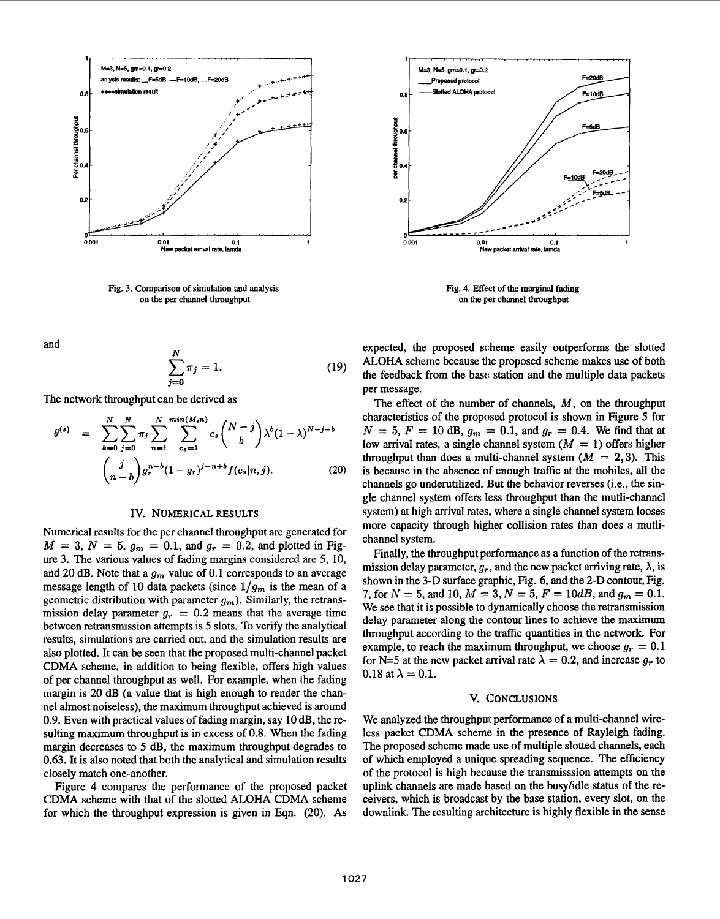

Fig. 3. Comparison of simulation and analysis on the per channel throughput

and

$$
\sum_{j=0}^{N} \pi_j = 1.
$$
 (19)

The network throughput can be derived as

$$
\theta^{(s)} = \sum_{k=0}^{N} \sum_{j=0}^{N} \pi_j \sum_{n=1}^{N} \sum_{c_s=1}^{min(M,n)} c_s {N-j \choose b} \lambda^b (1-\lambda)^{N-j-b}
$$
  

$$
{j \choose n-b} g_r^{n-b} (1-g_r)^{j-n+b} f(c_s | n, j). \tag{20}
$$

#### Iv. NUMERICAL RESULTS

Numerical results for the per channel throughput are generated for  $M = 3, N = 5, g_m = 0.1, \text{ and } g_r = 0.2, \text{ and plotted in Fig-}$ ure 3. The various values of fading margins considered are **5,** 10, and 20 dB. Note that a  $g_m$  value of 0.1 corresponds to an average message length of 10 data packets (since  $1/g_m$  is the mean of a geometric distribution with parameter  $g_m$ ). Similarly, the retransmission delay parameter  $g_r = 0.2$  means that the average time between retransmission attempts is **5** slots. To verify the analytical results, simulations are carried out, and the simulation results are also plotted. It can be seen that the proposed multi-channel packet **CDMA** scheme, in addition to being flexible, offers high values of per channel throughput as well. For example, when the fading margin is **20** dB (a value that is high enough to render the channel almost noiseless), the maximum throughput achieved is around 0.9. Even with practical values of fading margin, say 10 dB, the resulting maximum throughput is in excess of 0.8. When the fading margin decreases to *5* dB, the maximum throughput degrades to 0.63. It is also noted that both the analytical and simulation results closely match one-another.

Figure **4** compares the performance of the proposed packet **CDMA** scheme with that of the slotted **ALOHA CDMA** scheme for which the throughput expression is given in Eqn. **(20). As** 



Fig. 4. Effect of the marginal fading on the **per** channel throughput

expected, the proposed scheme easily outperforms the slotted **ALOHA** scheme because the proposed scheme makes use of both the feedback from the base station and the multiple data packets per message.

The effect of the number of channels,  $M$ , on the throughput characteristics of the proposed protocol is shown in [Figure](#page-4-0) *5* for  $N = 5, F = 10$  dB,  $g_m = 0.1$ , and  $g_r = 0.4$ . We find that at low arrival rates, a single channel system  $(M = 1)$  offers higher throughput than does a multi-channel system  $(M = 2,3)$ . This is because in the absence of enough traffic at the mobiles, all the channels go underutilized. But the behavior reverses (i.e., the single channel system offers less throughput than the mutli-channel system) at high arrival rates, where a single channel system looses more capacity through higher collision rates than does a mutlichannel system.

Finally, the throughput performance as a function of the retransmission delay parameter,  $g_r$ , and the new packet arriving rate,  $\lambda$ , is shown in the **3-D** surface graphic, Fig. 6, and the **2-D** contour, Fig. 7, for  $N=5$ , and 10,  $M=3$ ,  $N=5$ ,  $F=10dB$ , and  $g_m=0.1$ . We see that it is possible to dynamically choose the retransmission delay parameter along the contour lines to achieve the maximum throughput according to thc: traffic quantities in the network. For example, to reach the maximum throughput, we choose  $g_r = 0.1$ for N=5 at the new packet arrival rate  $\lambda = 0.2$ , and increase  $g_r$  to 0.18 at  $\lambda = 0.1$ .

#### V. CONCLUSIONS

We analyzed the throughput performance of a multi-channel wireless packet **CDMA** scheme in the presence of Rayleigh fading. The proposed scheme made use of multiple slotted channels, each of which employed a unique spreading sequence. The efficiency of the protocol is high became the transmisssion attempts on the uplink channels are made based on the busyhdle status of the receivers, which is broadcast by the base station, every slot, on the downlink. The resulting architecture is highly flexible in the sense